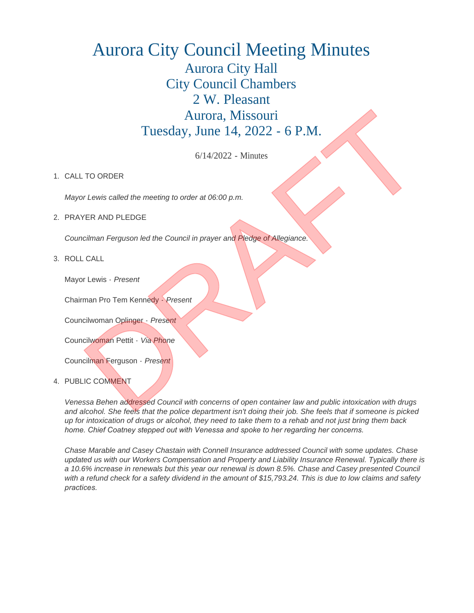## Aurora City Council Meeting Minutes Aurora City Hall City Council Chambers 2 W. Pleasant Aurora, Missouri Tuesday, June 14, 2022 - 6 P.M.

6/14/2022 - Minutes

## 1. CALL TO ORDER

*Mayor Lewis called the meeting to order at 06:00 p.m.*

2. PRAYER AND PLEDGE

*Councilman Ferguson led the Council in prayer and Pledge of Allegiance.*

ROLL CALL 3.

Mayor Lewis - *Present*

Chairman Pro Tem Kennedy - *Present*

Councilwoman Oplinger - *Present*

Councilwoman Pettit - *Via Phone*

Councilman Ferguson - *Present*

4. PUBLIC COMMENT

*Venessa Behen addressed Council with concerns of open container law and public intoxication with drugs and alcohol. She feels that the police department isn't doing their job. She feels that if someone is picked up for intoxication of drugs or alcohol, they need to take them to a rehab and not just bring them back home. Chief Coatney stepped out with Venessa and spoke to her regarding her concerns.* 

*Chase Marable and Casey Chastain with Connell Insurance addressed Council with some updates. Chase updated us with our Workers Compensation and Property and Liability Insurance Renewal. Typically there is a 10.6% increase in renewals but this year our renewal is down 8.5%. Chase and Casey presented Council with a refund check for a safety dividend in the amount of \$15,793.24. This is due to low claims and safety practices.*  Autoria, Missouri<br>
Tuesday, June 14, 2022 - 6 P.M.<br>
6/14202 - Minutes<br>
1. CALITO ORDER<br>
Mayor Lowis critical the mention of order at 66:00 p.m.<br>
2. PRAYER AND PLEDGE<br>
Councillowing To Tem Kennedy - Present<br>
2. RAYER AND PL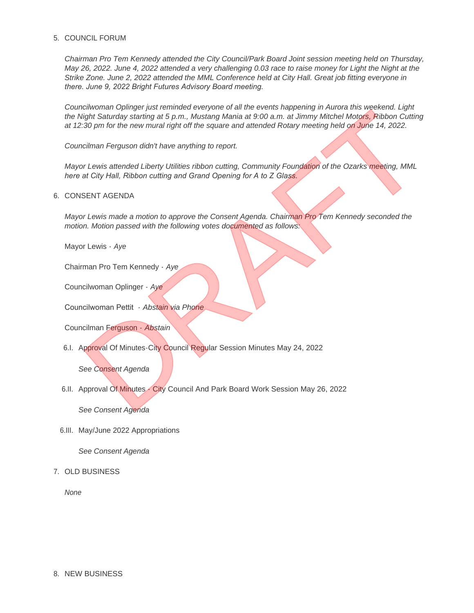## 5. COUNCIL FORUM

*Chairman Pro Tem Kennedy attended the City Council/Park Board Joint session meeting held on Thursday, May 26, 2022. June 4, 2022 attended a very challenging 0.03 race to raise money for Light the Night at the Strike Zone. June 2, 2022 attended the MML Conference held at City Hall. Great job fitting everyone in there. June 9, 2022 Bright Futures Advisory Board meeting.* 

*Councilwoman Oplinger just reminded everyone of all the events happening in Aurora this weekend. Light the Night Saturday starting at 5 p.m., Mustang Mania at 9:00 a.m. at Jimmy Mitchel Motors, Ribbon Cutting at 12:30 pm for the new mural right off the square and attended Rotary meeting held on June 14, 2022.* Contributed for the exercised particular components on the cooler and particular and particular and particular<br>
10. DRAFT ACT CONSULTS AND THE CONSULTS AND CONSULTS AND CONSULTS AND CONSULTS CONSULTS CONSULTS CONSULTS CONS

*Councilman Ferguson didn't have anything to report.*

*Mayor Lewis attended Liberty Utilities ribbon cutting, Community Foundation of the Ozarks meeting, MML here at City Hall, Ribbon cutting and Grand Opening for A to Z Glass.* 

## 6. CONSENT AGENDA

*Mayor Lewis made a motion to approve the Consent Agenda. Chairman Pro Tem Kennedy seconded the motion. Motion passed with the following votes documented as follows:*

Mayor Lewis - *Aye*

Chairman Pro Tem Kennedy - *Aye*

Councilwoman Oplinger - *Aye*

Councilwoman Pettit - *Abstain via Phone*

Councilman Ferguson - *Abstain*

6.I. Approval Of Minutes-City Council Regular Session Minutes May 24, 2022

*See Consent Agenda*

6.II. Approval Of Minutes - City Council And Park Board Work Session May 26, 2022

*See Consent Agenda*

6.III. May/June 2022 Appropriations

*See Consent Agenda*

7. OLD BUSINESS

*None*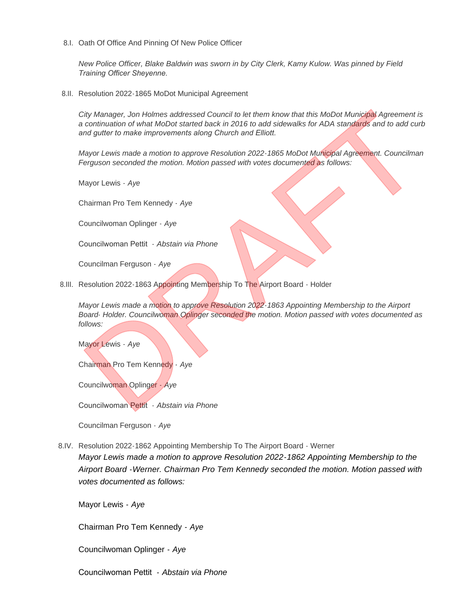8.I. Oath Of Office And Pinning Of New Police Officer

*New Police Officer, Blake Baldwin was sworn in by City Clerk, Kamy Kulow. Was pinned by Field Training Officer Sheyenne.* 

8.II. Resolution 2022-1865 MoDot Municipal Agreement

*City Manager, Jon Holmes addressed Council to let them know that this MoDot Municipal Agreement is a continuation of what MoDot started back in 2016 to add sidewalks for ADA standards and to add curb and gutter to make improvements along Church and Elliott.* 

*Mayor Lewis made a motion to approve Resolution 2022-1865 MoDot Municipal Agreement. Councilman Ferguson seconded the motion. Motion passed with votes documented as follows:*

Mayor Lewis - *Aye*

Chairman Pro Tem Kennedy - *Aye*

Councilwoman Oplinger - *Aye*

Councilwoman Pettit - *Abstain via Phone*

Councilman Ferguson - *Aye*

8.III. Resolution 2022-1863 Appointing Membership To The Airport Board - Holder

*Mayor Lewis made a motion to approve Resolution 2022-1863 Appointing Membership to the Airport Board- Holder. Councilwoman Oplinger seconded the motion. Motion passed with votes documented as follows:*

Mayor Lewis - *Aye*

Chairman Pro Tem Kennedy - *Aye*

Councilwoman Oplinger - *Aye*

Councilwoman Pettit - *Abstain via Phone*

Councilman Ferguson - *Aye*

8.IV. Resolution 2022-1862 Appointing Membership To The Airport Board - Werner *Mayor Lewis made a motion to approve Resolution 2022-1862 Appointing Membership to the Airport Board -Werner. Chairman Pro Tem Kennedy seconded the motion. Motion passed with votes documented as follows:* City Manager, Jones How the Holidageas Council o is them how that the Mapon Manufacture and the Control of Manufacture and the Manufacture and the Manufacture and the Manufacture and the Manufacture and the Manufacture and

Mayor Lewis - *Aye*

Chairman Pro Tem Kennedy - *Aye*

Councilwoman Oplinger - *Aye*

Councilwoman Pettit - *Abstain via Phone*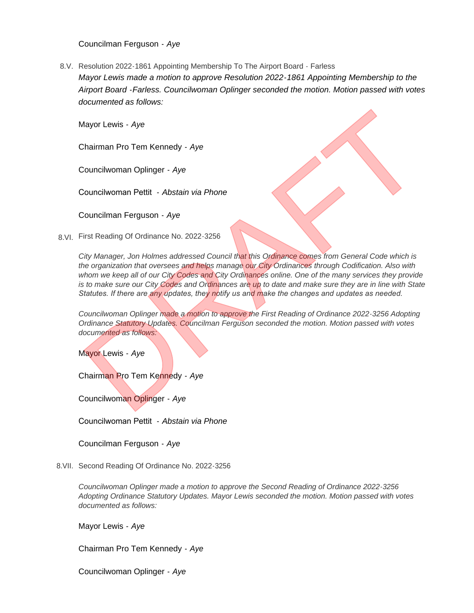Councilman Ferguson - *Aye*

8.V. Resolution 2022-1861 Appointing Membership To The Airport Board - Farless *Mayor Lewis made a motion to approve Resolution 2022-1861 Appointing Membership to the Airport Board -Farless. Councilwoman Oplinger seconded the motion. Motion passed with votes documented as follows:*

Mayor Lewis - *Aye*

Chairman Pro Tem Kennedy - *Aye*

Councilwoman Oplinger - *Aye*

Councilwoman Pettit - *Abstain via Phone*

Councilman Ferguson - *Aye*

8.VI. First Reading Of Ordinance No. 2022-3256

*City Manager, Jon Holmes addressed Council that this Ordinance comes from General Code which is the organization that oversees and helps manage our City Ordinances through Codification. Also with*  whom we keep all of our City Codes and City Ordinances online. One of the many services they provide *is to make sure our City Codes and Ordinances are up to date and make sure they are in line with State Statutes. If there are any updates, they notify us and make the changes and updates as needed.*  Mayor Lewis - Aye<br>
Councilhooman Performandy - Aye<br>
Councilhooman Performandy - Aye<br>
Councilhooman Performand - Abstain via Phone<br>
8yt<br>
19. Dramate and the council was Phone<br>
29. Dramate and the control was a control was t

*Councilwoman Oplinger made a motion to approve the First Reading of Ordinance 2022-3256 Adopting Ordinance Statutory Updates. Councilman Ferguson seconded the motion. Motion passed with votes documented as follows:*

Mayor Lewis - *Aye*

Chairman Pro Tem Kennedy - *Aye*

Councilwoman Oplinger - *Aye*

Councilwoman Pettit - *Abstain via Phone*

Councilman Ferguson - *Aye*

8. VII. Second Reading Of Ordinance No. 2022-3256

*Councilwoman Oplinger made a motion to approve the Second Reading of Ordinance 2022-3256 Adopting Ordinance Statutory Updates. Mayor Lewis seconded the motion. Motion passed with votes documented as follows:*

Mayor Lewis - *Aye*

Chairman Pro Tem Kennedy - *Aye*

Councilwoman Oplinger - *Aye*